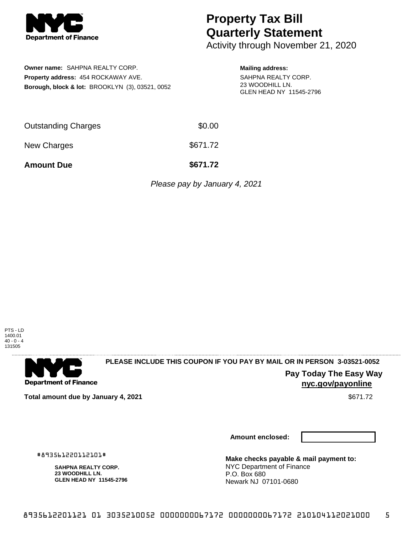

# **Property Tax Bill Quarterly Statement**

Activity through November 21, 2020

**Owner name:** SAHPNA REALTY CORP. **Property address:** 454 ROCKAWAY AVE. **Borough, block & lot:** BROOKLYN (3), 03521, 0052

#### **Mailing address:** SAHPNA REALTY CORP. 23 WOODHILL LN. GLEN HEAD NY 11545-2796

| <b>Amount Due</b>          | \$671.72 |
|----------------------------|----------|
| New Charges                | \$671.72 |
| <b>Outstanding Charges</b> | \$0.00   |

Please pay by January 4, 2021





### **PLEASE INCLUDE THIS COUPON IF YOU PAY BY MAIL OR IN PERSON 3-03521-0052**

**Pay Today The Easy Way nyc.gov/payonline**

**Total amount due by January 4, 2021**  $\bullet$  **Sexual Advisor of the Sexual Advisor of the Sexual Advisor of Sexual Advisor of Sexual Advisor of Sexual Advisor of Sexual Advisor of Sexual Advisor of Sexual Advisor of Sexual A** 

**Amount enclosed:**

**Make checks payable & mail payment to:** NYC Department of Finance P.O. Box 680 Newark NJ 07101-0680

#893561220112101#

**SAHPNA REALTY CORP. 23 WOODHILL LN. GLEN HEAD NY 11545-2796**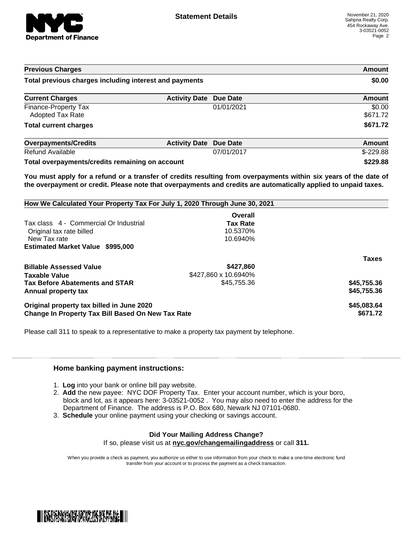

| <b>Previous Charges</b><br>Total previous charges including interest and payments |                      |                 | <b>Amount</b><br>\$0.00 |
|-----------------------------------------------------------------------------------|----------------------|-----------------|-------------------------|
|                                                                                   |                      |                 |                         |
| Finance-Property Tax<br><b>Adopted Tax Rate</b>                                   |                      | 01/01/2021      | \$0.00<br>\$671.72      |
| <b>Total current charges</b>                                                      |                      |                 | \$671.72                |
| <b>Overpayments/Credits</b>                                                       | <b>Activity Date</b> | <b>Due Date</b> | <b>Amount</b>           |
| <b>Refund Available</b>                                                           |                      | 07/01/2017      | $$-229.88$              |
| Total overpayments/credits remaining on account                                   |                      |                 | \$229.88                |

You must apply for a refund or a transfer of credits resulting from overpayments within six years of the date of **the overpayment or credit. Please note that overpayments and credits are automatically applied to unpaid taxes.**

| How We Calculated Your Property Tax For July 1, 2020 Through June 30, 2021 |                      |              |  |  |  |
|----------------------------------------------------------------------------|----------------------|--------------|--|--|--|
|                                                                            | Overall              |              |  |  |  |
| Tax class 4 - Commercial Or Industrial                                     | <b>Tax Rate</b>      |              |  |  |  |
| Original tax rate billed                                                   | 10.5370%             |              |  |  |  |
| New Tax rate                                                               | 10.6940%             |              |  |  |  |
| <b>Estimated Market Value \$995,000</b>                                    |                      |              |  |  |  |
|                                                                            |                      | <b>Taxes</b> |  |  |  |
| <b>Billable Assessed Value</b>                                             | \$427,860            |              |  |  |  |
| Taxable Value                                                              | \$427,860 x 10.6940% |              |  |  |  |
| <b>Tax Before Abatements and STAR</b>                                      | \$45,755.36          | \$45,755.36  |  |  |  |
| Annual property tax                                                        |                      | \$45,755.36  |  |  |  |
| Original property tax billed in June 2020                                  |                      | \$45,083.64  |  |  |  |
| Change In Property Tax Bill Based On New Tax Rate                          | \$671.72             |              |  |  |  |

Please call 311 to speak to a representative to make a property tax payment by telephone.

### **Home banking payment instructions:**

- 1. **Log** into your bank or online bill pay website.
- 2. **Add** the new payee: NYC DOF Property Tax. Enter your account number, which is your boro, block and lot, as it appears here: 3-03521-0052 . You may also need to enter the address for the Department of Finance. The address is P.O. Box 680, Newark NJ 07101-0680.
- 3. **Schedule** your online payment using your checking or savings account.

## **Did Your Mailing Address Change?**

If so, please visit us at **nyc.gov/changemailingaddress** or call **311.**

When you provide a check as payment, you authorize us either to use information from your check to make a one-time electronic fund transfer from your account or to process the payment as a check transaction.